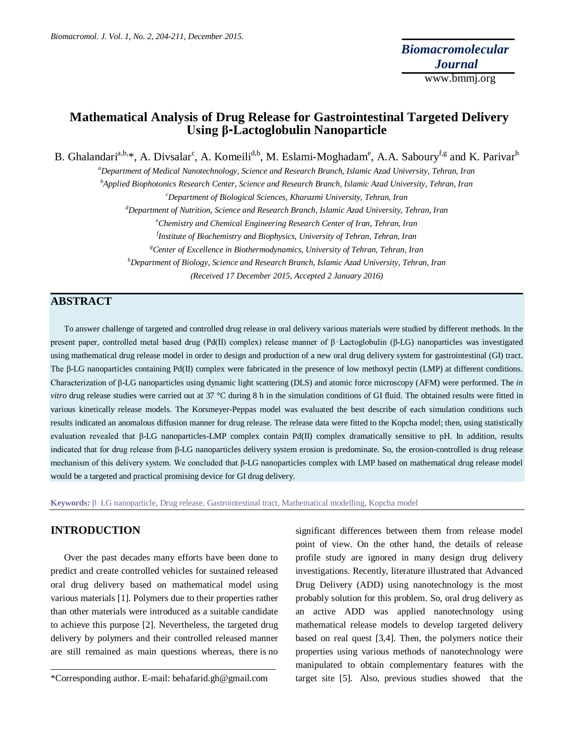*Biomacromol. J. Vol. 1, No. 2, 204-211, December 2015.*

# **Mathematical Analysis of Drug Release for Gastrointestinal Targeted Delivery Using β-Lactoglobulin Nanoparticle**

B. Ghalandari<sup>a,b,</sup>\*, A. Divsalar<sup>c</sup>, A. Komeili<sup>d,b</sup>, M. Eslami-Moghadam<sup>e</sup>, A.A. Saboury<sup>f,g</sup> and K. Parivar<sup>h</sup>

*<sup>a</sup>Department of Medical Nanotechnology, Science and Research Branch, Islamic Azad University, Tehran, Iran*

*<sup>b</sup>Applied Biophotonics Research Center, Science and Research Branch, Islamic Azad University, Tehran, Iran*

*<sup>c</sup>Department of Biological Sciences, Kharazmi University, Tehran, Iran*

*<sup>d</sup>Department of Nutrition, Science and Research Branch, Islamic Azad University, Tehran, Iran*

*<sup>e</sup>Chemistry and Chemical Engineering Research Center of Iran, Tehran, Iran*

*f Institute of Biochemistry and Biophysics, University of Tehran, Tehran, Iran*

*<sup>g</sup>Center of Excellence in Biothermodynamics, University of Tehran, Tehran, Iran*

*<sup>h</sup>Department of Biology, Science and Research Branch, Islamic Azad University, Tehran, Iran*

*(Received 17 December 2015, Accepted 2 January 2016)*

# **ABSTRACT**

To answer challenge of targeted and controlled drug release in oral delivery various materials were studied by different methods. In the present paper, controlled metal based drug (Pd(II) complex) release manner of β‑Lactoglobulin (β-LG) nanoparticles was investigated using mathematical drug release model in order to design and production of a new oral drug delivery system for gastrointestinal (GI) tract. The β-LG nanoparticles containing Pd(II) complex were fabricated in the presence of low methoxyl pectin (LMP) at different conditions. Characterization of β-LG nanoparticles using dynamic light scattering (DLS) and atomic force microscopy (AFM) were performed. The *in vitro* drug release studies were carried out at 37 °C during 8 h in the simulation conditions of GI fluid. The obtained results were fitted in various kinetically release models. The Korsmeyer-Peppas model was evaluated the best describe of each simulation conditions such results indicated an anomalous diffusion manner for drug release. The release data were fitted to the Kopcha model; then, using statistically evaluation revealed that β-LG nanoparticles-LMP complex contain Pd(II) complex dramatically sensitive to pH. In addition, results indicated that for drug release from β-LG nanoparticles delivery system erosion is predominate. So, the erosion-controlled is drug release mechanism of this delivery system. We concluded that β-LG nanoparticles complex with LMP based on mathematical drug release model would be a targeted and practical promising device for GI drug delivery.

**Keywords:** β‑LG nanoparticle, Drug release, Gastrointestinal tract, Mathematical modelling, Kopcha model

## **INTRODUCTION**

Over the past decades many efforts have been done to predict and create controlled vehicles for sustained released oral drug delivery based on mathematical model using various materials [1]. Polymers due to their properties rather than other materials were introduced as a suitable candidate to achieve this purpose [2]. Nevertheless, the targeted drug delivery by polymers and their controlled released manner are still remained as main questions whereas, there is no significant differences between them from release model point of view. On the other hand, the details of release profile study are ignored in many design drug delivery investigations. Recently, literature illustrated that Advanced Drug Delivery (ADD) using nanotechnology is the most probably solution for this problem. So, oral drug delivery as an active ADD was applied nanotechnology using mathematical release models to develop targeted delivery based on real quest [3,4]. Then, the polymers notice their properties using various methods of nanotechnology were manipulated to obtain complementary features with the target site [5]. Also, previous studies showed that the

<sup>\*</sup>Corresponding author. E-mail: behafarid.gh@gmail.com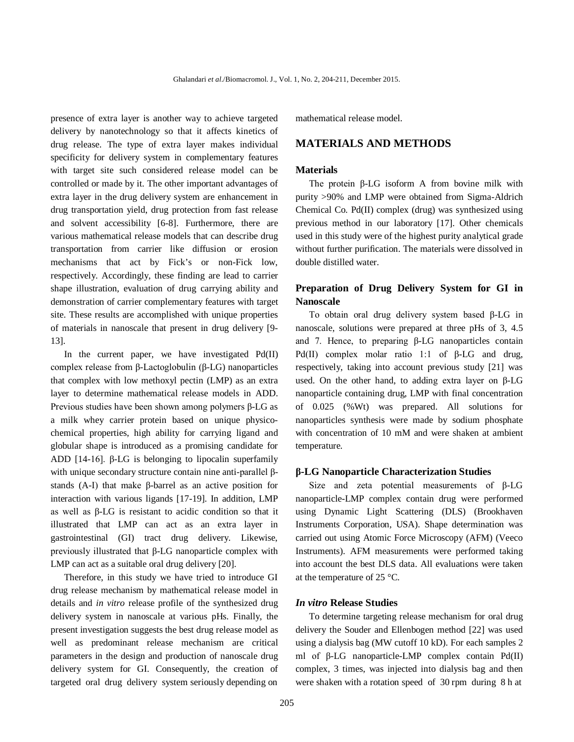presence of extra layer is another way to achieve targeted delivery by nanotechnology so that it affects kinetics of drug release. The type of extra layer makes individual specificity for delivery system in complementary features with target site such considered release model can be controlled or made by it. The other important advantages of extra layer in the drug delivery system are enhancement in drug transportation yield, drug protection from fast release and solvent accessibility [6-8]. Furthermore, there are various mathematical release models that can describe drug transportation from carrier like diffusion or erosion mechanisms that act by Fick's or non-Fick low, respectively. Accordingly, these finding are lead to carrier shape illustration, evaluation of drug carrying ability and demonstration of carrier complementary features with target site. These results are accomplished with unique properties of materials in nanoscale that present in drug delivery [9- 13].

In the current paper, we have investigated Pd(II) complex release from β-Lactoglobulin (β-LG) nanoparticles that complex with low methoxyl pectin (LMP) as an extra layer to determine mathematical release models in ADD. Previous studies have been shown among polymers β-LG as a milk whey carrier protein based on unique physicochemical properties, high ability for carrying ligand and globular shape is introduced as a promising candidate for ADD [14-16]. β-LG is belonging to lipocalin superfamily with unique secondary structure contain nine anti-parallel βstands (A-I) that make β-barrel as an active position for interaction with various ligands [17-19]. In addition, LMP as well as β-LG is resistant to acidic condition so that it illustrated that LMP can act as an extra layer in gastrointestinal (GI) tract drug delivery. Likewise, previously illustrated that β-LG nanoparticle complex with LMP can act as a suitable oral drug delivery [20].

Therefore, in this study we have tried to introduce GI drug release mechanism by mathematical release model in details and *in vitro* release profile of the synthesized drug delivery system in nanoscale at various pHs. Finally, the present investigation suggests the best drug release model as well as predominant release mechanism are critical parameters in the design and production of nanoscale drug delivery system for GI. Consequently, the creation of targeted oral drug delivery system seriously depending on

mathematical release model.

## **MATERIALS AND METHODS**

#### **Materials**

The protein β-LG isoform A from bovine milk with purity >90% and LMP were obtained from Sigma-Aldrich Chemical Co. Pd(II) complex (drug) was synthesized using previous method in our laboratory [17]. Other chemicals used in this study were of the highest purity analytical grade without further purification. The materials were dissolved in double distilled water.

# **Preparation of Drug Delivery System for GI in Nanoscale**

To obtain oral drug delivery system based β-LG in nanoscale, solutions were prepared at three pHs of 3, 4.5 and 7. Hence, to preparing β-LG nanoparticles contain Pd(II) complex molar ratio 1:1 of β-LG and drug, respectively, taking into account previous study [21] was used. On the other hand, to adding extra layer on β-LG nanoparticle containing drug, LMP with final concentration of 0.025 (%Wt) was prepared. All solutions for nanoparticles synthesis were made by sodium phosphate with concentration of 10 mM and were shaken at ambient temperature.

#### **β-LG Nanoparticle Characterization Studies**

Size and zeta potential measurements of β-LG nanoparticle-LMP complex contain drug were performed using Dynamic Light Scattering (DLS) (Brookhaven Instruments Corporation, USA). Shape determination was carried out using Atomic Force Microscopy (AFM) (Veeco Instruments). AFM measurements were performed taking into account the best DLS data. All evaluations were taken at the temperature of 25 °C.

### *In vitro* **Release Studies**

To determine targeting release mechanism for oral drug delivery the Souder and Ellenbogen method [22] was used using a dialysis bag (MW cutoff 10 kD). For each samples 2 ml of β-LG nanoparticle-LMP complex contain Pd(II) complex, 3 times, was injected into dialysis bag and then were shaken with a rotation speed of 30 rpm during 8 h at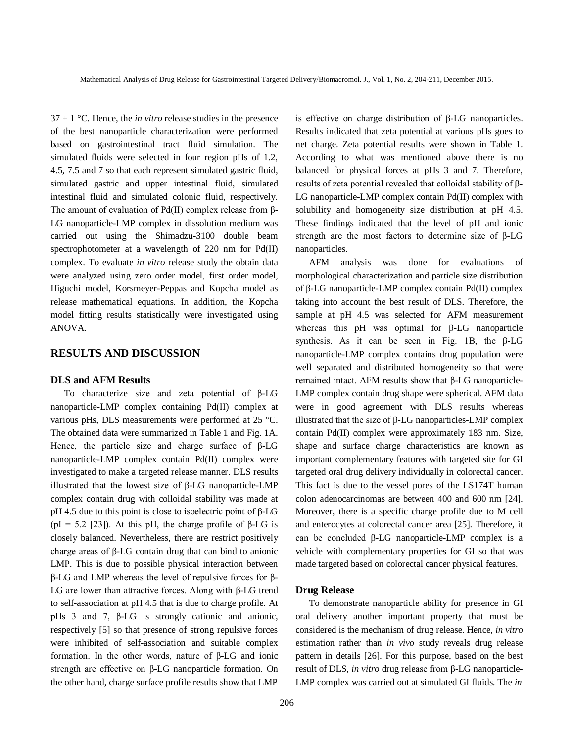$37 \pm 1$  °C. Hence, the *in vitro* release studies in the presence of the best nanoparticle characterization were performed based on gastrointestinal tract fluid simulation. The simulated fluids were selected in four region pHs of 1.2, 4.5, 7.5 and 7 so that each represent simulated gastric fluid, simulated gastric and upper intestinal fluid, simulated intestinal fluid and simulated colonic fluid, respectively. The amount of evaluation of Pd(II) complex release from β-LG nanoparticle-LMP complex in dissolution medium was carried out using the Shimadzu-3100 double beam spectrophotometer at a wavelength of 220 nm for Pd(II) complex. To evaluate *in vitro* release study the obtain data were analyzed using zero order model, first order model, Higuchi model, Korsmeyer-Peppas and Kopcha model as release mathematical equations. In addition, the Kopcha model fitting results statistically were investigated using ANOVA.

### **RESULTS AND DISCUSSION**

#### **DLS and AFM Results**

To characterize size and zeta potential of β-LG nanoparticle-LMP complex containing Pd(II) complex at various pHs, DLS measurements were performed at 25 °C. The obtained data were summarized in Table 1 and Fig. 1A. Hence, the particle size and charge surface of β-LG nanoparticle-LMP complex contain Pd(II) complex were investigated to make a targeted release manner. DLS results illustrated that the lowest size of β-LG nanoparticle-LMP complex contain drug with colloidal stability was made at pH 4.5 due to this point is close to isoelectric point of β-LG (pI = 5.2 [23]). At this pH, the charge profile of  $\beta$ -LG is closely balanced. Nevertheless, there are restrict positively charge areas of β-LG contain drug that can bind to anionic LMP. This is due to possible physical interaction between β-LG and LMP whereas the level of repulsive forces for β-LG are lower than attractive forces. Along with β-LG trend to self-association at pH 4.5 that is due to charge profile. At pHs 3 and 7, β-LG is strongly cationic and anionic, respectively [5] so that presence of strong repulsive forces were inhibited of self-association and suitable complex formation. In the other words, nature of β-LG and ionic strength are effective on β-LG nanoparticle formation. On the other hand, charge surface profile results show that LMP

206

is effective on charge distribution of β-LG nanoparticles. Results indicated that zeta potential at various pHs goes to net charge. Zeta potential results were shown in Table 1. According to what was mentioned above there is no balanced for physical forces at pHs 3 and 7. Therefore, results of zeta potential revealed that colloidal stability of β-LG nanoparticle-LMP complex contain Pd(II) complex with solubility and homogeneity size distribution at pH 4.5. These findings indicated that the level of pH and ionic strength are the most factors to determine size of β-LG nanoparticles.

AFM analysis was done for evaluations of morphological characterization and particle size distribution of β-LG nanoparticle-LMP complex contain Pd(II) complex taking into account the best result of DLS. Therefore, the sample at pH 4.5 was selected for AFM measurement whereas this pH was optimal for β-LG nanoparticle synthesis. As it can be seen in Fig. 1B, the β-LG nanoparticle-LMP complex contains drug population were well separated and distributed homogeneity so that were remained intact. AFM results show that β-LG nanoparticle-LMP complex contain drug shape were spherical. AFM data were in good agreement with DLS results whereas illustrated that the size of β-LG nanoparticles-LMP complex contain Pd(II) complex were approximately 183 nm. Size, shape and surface charge characteristics are known as important complementary features with targeted site for GI targeted oral drug delivery individually in colorectal cancer. This fact is due to the vessel pores of the LS174T human colon adenocarcinomas are between 400 and 600 nm [24]. Moreover, there is a specific charge profile due to M cell and enterocytes at colorectal cancer area [25]. Therefore, it can be concluded β-LG nanoparticle-LMP complex is a vehicle with complementary properties for GI so that was made targeted based on colorectal cancer physical features.

#### **Drug Release**

To demonstrate nanoparticle ability for presence in GI oral delivery another important property that must be considered is the mechanism of drug release. Hence, *in vitro* estimation rather than *in vivo* study reveals drug release pattern in details [26]. For this purpose, based on the best result of DLS, *in vitro* drug release from β-LG nanoparticle-LMP complex was carried out at simulated GI fluids. The *in*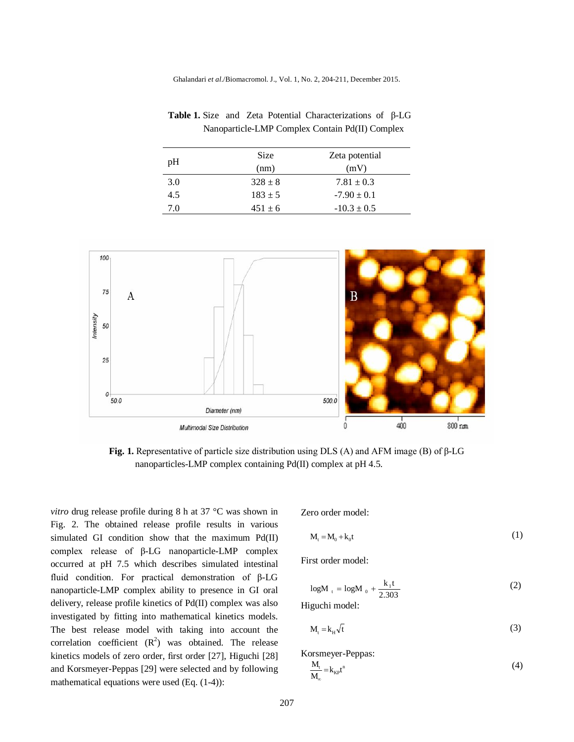Ghalandari *et al*./Biomacromol. J., Vol. 1, No. 2, 204-211, December 2015.

|     | <b>Size</b> | Zeta potential  |
|-----|-------------|-----------------|
| pH  | (nm)        | (mV)            |
| 3.0 | $328 \pm 8$ | $7.81 \pm 0.3$  |
| 4.5 | $183 + 5$   | $-7.90 \pm 0.1$ |
| 70  | $451 \pm 6$ | $-10.3 \pm 0.5$ |





**Fig. 1.** Representative of particle size distribution using DLS (A) and AFM image (B) of β-LG nanoparticles-LMP complex containing Pd(II) complex at pH 4.5.

*vitro* drug release profile during 8 h at 37 °C was shown in Fig. 2. The obtained release profile results in various simulated GI condition show that the maximum Pd(II) complex release of β-LG nanoparticle-LMP complex occurred at pH 7.5 which describes simulated intestinal fluid condition. For practical demonstration of β-LG nanoparticle-LMP complex ability to presence in GI oral delivery, release profile kinetics of Pd(II) complex was also investigated by fitting into mathematical kinetics models. The best release model with taking into account the correlation coefficient  $(R^2)$  was obtained. The release kinetics models of zero order, first order [27], Higuchi [28] and Korsmeyer-Peppas [29] were selected and by following mathematical equations were used (Eq. (1-4)):

Zero order model:

$$
\mathbf{M}_{t} = \mathbf{M}_{0} + \mathbf{k}_{0} \mathbf{t} \tag{1}
$$

First order model:

$$
logM_{t} = logM_{0} + \frac{k_{1}t}{2.303}
$$
 (2)

Higuchi model:

$$
M_t = k_H \sqrt{t} \tag{3}
$$

Korsmeyer-Peppas:

$$
\frac{M_t}{M_{\infty}} = k_{\rm KP} t^n \tag{4}
$$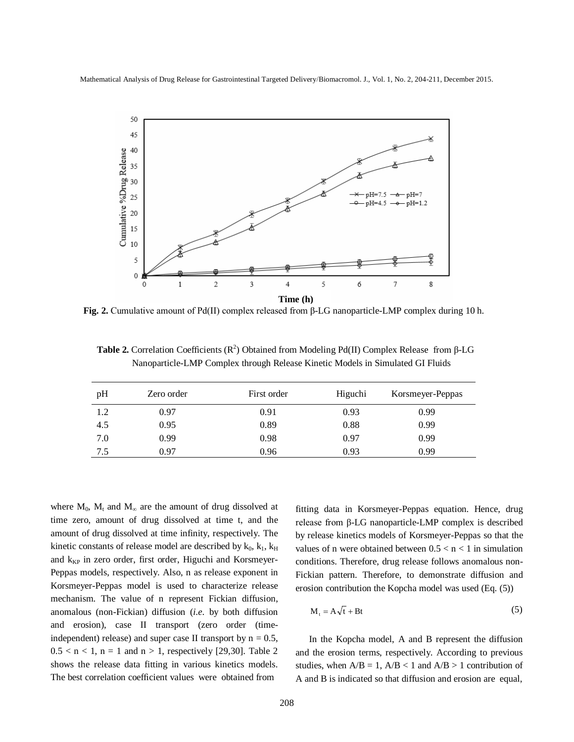Mathematical Analysis of Drug Release for Gastrointestinal Targeted DeliveryBiomacromol. J., Vol. 1, No. 2, 204-211, December 2015.



**Fig. 2.** Cumulative amount of Pd(II) complex released from β-LG nanoparticle-LMP complex during 10 h.

**Table 2.** Correlation Coefficients ( $\mathbb{R}^2$ ) Obtained from Modeling Pd(II) Complex Release from β-LG Nanoparticle-LMP Complex through Release Kinetic Models in Simulated GI Fluids

| pH  | Zero order | First order | Higuchi | Korsmeyer-Peppas |
|-----|------------|-------------|---------|------------------|
| 1.2 | 0.97       | 0.91        | 0.93    | 0.99             |
| 4.5 | 0.95       | 0.89        | 0.88    | 0.99             |
| 7.0 | 0.99       | 0.98        | 0.97    | 0.99             |
| 7.5 | 0.97       | 0.96        | 0.93    | 0.99             |

where  $M_0$ ,  $M_t$  and  $M_\infty$  are the amount of drug dissolved at time zero, amount of drug dissolved at time t, and the amount of drug dissolved at time infinity, respectively. The kinetic constants of release model are described by  $k_0$ ,  $k_1$ ,  $k_H$ and  $k_{KP}$  in zero order, first order, Higuchi and Korsmeyer-Peppas models, respectively. Also, n as release exponent in Korsmeyer-Peppas model is used to characterize release mechanism. The value of n represent Fickian diffusion, anomalous (non-Fickian) diffusion (*i.e.* by both diffusion and erosion), case II transport (zero order (timeindependent) release) and super case II transport by  $n = 0.5$ ,  $0.5 < n < 1$ ,  $n = 1$  and  $n > 1$ , respectively [29,30]. Table 2 shows the release data fitting in various kinetics models. The best correlation coefficient values were obtained from

fitting data in Korsmeyer-Peppas equation. Hence, drug release from β-LG nanoparticle-LMP complex is described by release kinetics models of Korsmeyer-Peppas so that the values of n were obtained between  $0.5 < n < 1$  in simulation conditions. Therefore, drug release follows anomalous non-Fickian pattern. Therefore, to demonstrate diffusion and erosion contribution the Kopcha model was used (Eq. (5))

$$
M_t = A\sqrt{t} + Bt \tag{5}
$$

In the Kopcha model, A and B represent the diffusion and the erosion terms, respectively. According to previous studies, when  $A/B = 1$ ,  $A/B < 1$  and  $A/B > 1$  contribution of A and B is indicated so that diffusion and erosion are equal,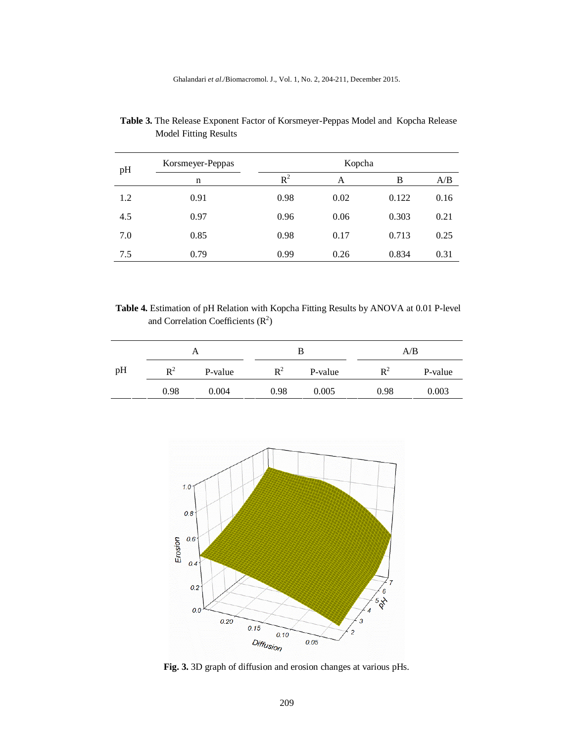| pH  | Korsmeyer-Peppas | Kopcha |      |       |      |
|-----|------------------|--------|------|-------|------|
|     | n                | $R^2$  | А    | B     | A/B  |
| 1.2 | 0.91             | 0.98   | 0.02 | 0.122 | 0.16 |
| 4.5 | 0.97             | 0.96   | 0.06 | 0.303 | 0.21 |
| 7.0 | 0.85             | 0.98   | 0.17 | 0.713 | 0.25 |
| 7.5 | 0.79             | 0.99   | 0.26 | 0.834 | 0.31 |

 **Table 3.** The Release Exponent Factor of Korsmeyer-Peppas Model and Kopcha Release Model Fitting Results

 **Table 4.** Estimation of pH Relation with Kopcha Fitting Results by ANOVA at 0.01 P-level and Correlation Coefficients  $(R<sup>2</sup>)$ 

| A  |                | B       |                | A/B     |                |         |
|----|----------------|---------|----------------|---------|----------------|---------|
| рH | $\mathbf{R}^2$ | P-value | $\mathbf{R}^2$ | P-value | $\mathbf{R}^2$ | P-value |
|    | 0.98           | 0.004   | 0.98           | 0.005   | 0.98           | 0.003   |



**Fig. 3.** 3D graph of diffusion and erosion changes at various pHs.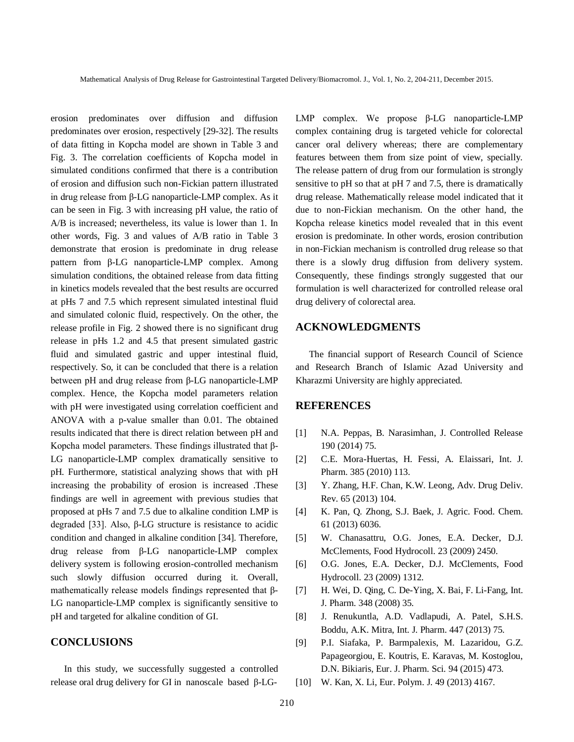erosion predominates over diffusion and diffusion predominates over erosion, respectively [29-32]. The results of data fitting in Kopcha model are shown in Table 3 and Fig. 3. The correlation coefficients of Kopcha model in simulated conditions confirmed that there is a contribution of erosion and diffusion such non-Fickian pattern illustrated in drug release from β-LG nanoparticle-LMP complex. As it can be seen in Fig. 3 with increasing pH value, the ratio of A/B is increased; nevertheless, its value is lower than 1. In other words, Fig. 3 and values of A/B ratio in Table 3 demonstrate that erosion is predominate in drug release pattern from β-LG nanoparticle-LMP complex. Among simulation conditions, the obtained release from data fitting in kinetics models revealed that the best results are occurred at pHs 7 and 7.5 which represent simulated intestinal fluid and simulated colonic fluid, respectively. On the other, the release profile in Fig. 2 showed there is no significant drug release in pHs 1.2 and 4.5 that present simulated gastric fluid and simulated gastric and upper intestinal fluid, respectively. So, it can be concluded that there is a relation between pH and drug release from β-LG nanoparticle-LMP complex. Hence, the Kopcha model parameters relation with pH were investigated using correlation coefficient and ANOVA with a p-value smaller than 0.01. The obtained results indicated that there is direct relation between pH and Kopcha model parameters. These findings illustrated that β-LG nanoparticle-LMP complex dramatically sensitive to pH. Furthermore, statistical analyzing shows that with pH increasing the probability of erosion is increased .These findings are well in agreement with previous studies that proposed at pHs 7 and 7.5 due to alkaline condition LMP is degraded [33]. Also, β-LG structure is resistance to acidic condition and changed in alkaline condition [34]. Therefore, drug release from β-LG nanoparticle-LMP complex delivery system is following erosion-controlled mechanism such slowly diffusion occurred during it. Overall, mathematically release models findings represented that β-LG nanoparticle-LMP complex is significantly sensitive to pH and targeted for alkaline condition of GI.

### **CONCLUSIONS**

In this study, we successfully suggested a controlled release oral drug delivery for GI in nanoscale based β-LG-

LMP complex. We propose β-LG nanoparticle-LMP complex containing drug is targeted vehicle for colorectal cancer oral delivery whereas; there are complementary features between them from size point of view, specially. The release pattern of drug from our formulation is strongly sensitive to pH so that at pH 7 and 7.5, there is dramatically drug release. Mathematically release model indicated that it due to non-Fickian mechanism. On the other hand, the Kopcha release kinetics model revealed that in this event erosion is predominate. In other words, erosion contribution in non-Fickian mechanism is controlled drug release so that there is a slowly drug diffusion from delivery system. Consequently, these findings strongly suggested that our formulation is well characterized for controlled release oral drug delivery of colorectal area.

# **ACKNOWLEDGMENTS**

The financial support of Research Council of Science and Research Branch of Islamic Azad University and Kharazmi University are highly appreciated.

#### **REFERENCES**

- [1] N.A. Peppas, B. Narasimhan, J. Controlled Release 190 (2014) 75.
- [2] C.E. Mora-Huertas, H. Fessi, A. Elaissari, Int. J. Pharm. 385 (2010) 113.
- [3] Y. Zhang, H.F. Chan, K.W. Leong, Adv. Drug Deliv. Rev. 65 (2013) 104.
- [4] K. Pan, O. Zhong, S.J. Baek, J. Agric. Food. Chem. 61 (2013) 6036.
- [5] W. Chanasattru, O.G. Jones, E.A. Decker, D.J. McClements, Food Hydrocoll. 23 (2009) 2450.
- [6] O.G. Jones, E.A. Decker, D.J. McClements, Food Hydrocoll. 23 (2009) 1312.
- [7] H. Wei, D. Qing, C. De-Ying, X. Bai, F. Li-Fang, Int. J. Pharm. 348 (2008) 35.
- [8] J. Renukuntla, A.D. Vadlapudi, A. Patel, S.H.S. Boddu, A.K. Mitra, Int. J. Pharm. 447 (2013) 75.
- [9] P.I. Siafaka, P. Barmpalexis, M. Lazaridou, G.Z. Papageorgiou, E. Koutris, E. Karavas, M. Kostoglou, D.N. Bikiaris, Eur. J. Pharm. Sci. 94 (2015) 473.
- [10] W. Kan, X. Li, Eur. Polym. J. 49 (2013) 4167.